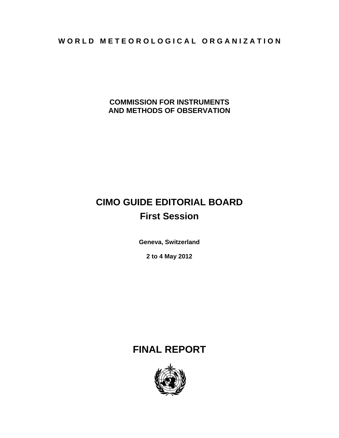WORLD METEOROLOGICAL ORGANIZATION

**COMMISSION FOR INSTRUMENTS AND METHODS OF OBSERVATION** 

# **CIMO GUIDE EDITORIAL BOARD First Session**

**Geneva, Switzerland** 

**2 to 4 May 2012** 

# **FINAL REPORT**

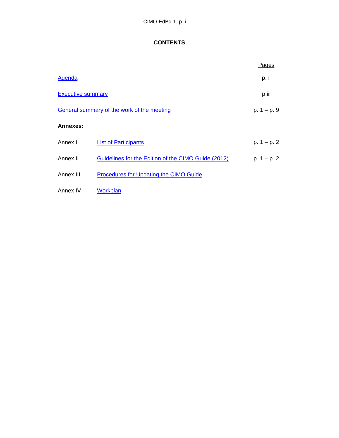# **CONTENTS**

|                          |                                                     | Pages          |
|--------------------------|-----------------------------------------------------|----------------|
| Agenda                   |                                                     | p. ii          |
| <b>Executive summary</b> | p.iii                                               |                |
|                          | General summary of the work of the meeting          | $p. 1 - p. 9$  |
| Annexes:                 |                                                     |                |
| Annex I                  | <b>List of Participants</b>                         | p. $1 - p$ . 2 |
| Annex II                 | Guidelines for the Edition of the CIMO Guide (2012) | $p. 1 - p. 2$  |
| Annex III                | <b>Procedures for Updating the CIMO Guide</b>       |                |
| Annex IV                 | Workplan                                            |                |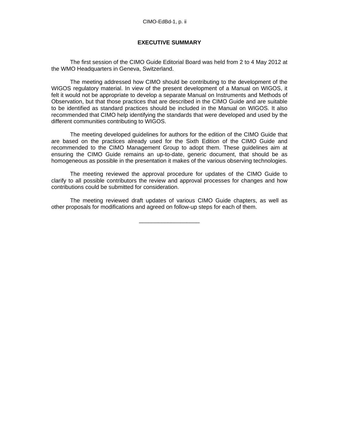#### **EXECUTIVE SUMMARY**

The first session of the CIMO Guide Editorial Board was held from 2 to 4 May 2012 at the WMO Headquarters in Geneva, Switzerland.

The meeting addressed how CIMO should be contributing to the development of the WIGOS regulatory material. In view of the present development of a Manual on WIGOS, it felt it would not be appropriate to develop a separate Manual on Instruments and Methods of Observation, but that those practices that are described in the CIMO Guide and are suitable to be identified as standard practices should be included in the Manual on WIGOS. It also recommended that CIMO help identifying the standards that were developed and used by the different communities contributing to WIGOS.

The meeting developed guidelines for authors for the edition of the CIMO Guide that are based on the practices already used for the Sixth Edition of the CIMO Guide and recommended to the CIMO Management Group to adopt them. These guidelines aim at ensuring the CIMO Guide remains an up-to-date, generic document, that should be as homogeneous as possible in the presentation it makes of the various observing technologies.

The meeting reviewed the approval procedure for updates of the CIMO Guide to clarify to all possible contributors the review and approval processes for changes and how contributions could be submitted for consideration.

The meeting reviewed draft updates of various CIMO Guide chapters, as well as other proposals for modifications and agreed on follow-up steps for each of them.

\_\_\_\_\_\_\_\_\_\_\_\_\_\_\_\_\_\_\_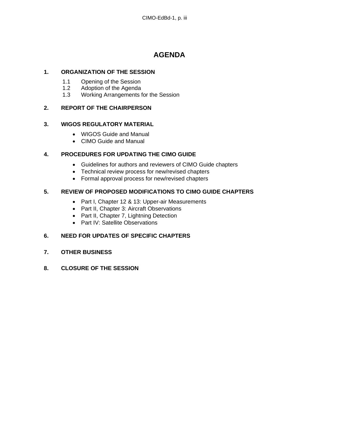# **AGENDA**

#### **1. ORGANIZATION OF THE SESSION**

- 1.1 Opening of the Session<br>1.2 Adoption of the Agenda
- 1.2 Adoption of the Agenda<br>1.3 Working Arrangements
- Working Arrangements for the Session

# **2. REPORT OF THE CHAIRPERSON**

#### **3. WIGOS REGULATORY MATERIAL**

- WIGOS Guide and Manual
- CIMO Guide and Manual

# **4. PROCEDURES FOR UPDATING THE CIMO GUIDE**

- Guidelines for authors and reviewers of CIMO Guide chapters
- Technical review process for new/revised chapters
- Formal approval process for new/revised chapters

# **5. REVIEW OF PROPOSED MODIFICATIONS TO CIMO GUIDE CHAPTERS**

- Part I, Chapter 12 & 13: Upper-air Measurements
- Part II, Chapter 3: Aircraft Observations
- Part II, Chapter 7, Lightning Detection
- Part IV: Satellite Observations

# **6. NEED FOR UPDATES OF SPECIFIC CHAPTERS**

- **7. OTHER BUSINESS**
- **8. CLOSURE OF THE SESSION**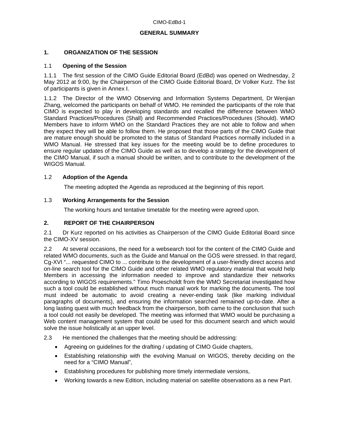#### **GENERAL SUMMARY**

#### **1. ORGANIZATION OF THE SESSION**

#### 1.1 **Opening of the Session**

1.1.1 The first session of the CIMO Guide Editorial Board (EdBd) was opened on Wednesday, 2 May 2012 at 9:00, by the Chairperson of the CIMO Guide Editorial Board, Dr Volker Kurz. The list of participants is given in Annex I.

1.1.2 The Director of the WMO Observing and Information Systems Department, Dr Wenjian Zhang, welcomed the participants on behalf of WMO. He reminded the participants of the role that CIMO is expected to play in developing standards and recalled the difference between WMO Standard Practices/Procedures (Shall) and Recommended Practices/Procedures (Should). WMO Members have to inform WMO on the Standard Practices they are not able to follow and when they expect they will be able to follow them. He proposed that those parts of the CIMO Guide that are mature enough should be promoted to the status of Standard Practices normally included in a WMO Manual. He stressed that key issues for the meeting would be to define procedures to ensure regular updates of the CIMO Guide as well as to develop a strategy for the development of the CIMO Manual, if such a manual should be written, and to contribute to the development of the WIGOS Manual.

#### 1.2 **Adoption of the Agenda**

The meeting adopted the Agenda as reproduced at the beginning of this report.

#### 1.3 **Working Arrangements for the Session**

The working hours and tentative timetable for the meeting were agreed upon.

#### **2. REPORT OF THE CHAIRPERSON**

2.1 Dr Kurz reported on his activities as Chairperson of the CIMO Guide Editorial Board since the CIMO-XV session.

2.2 At several occasions, the need for a websearch tool for the content of the CIMO Guide and related WMO documents, such as the Guide and Manual on the GOS were stressed. In that regard, Cg-XVI "... requested CIMO to ... contribute to the development of a user-friendly direct access and on-line search tool for the CIMO Guide and other related WMO regulatory material that would help Members in accessing the information needed to improve and standardize their networks according to WIGOS requirements." Timo Proescholdt from the WMO Secretariat investigated how such a tool could be established without much manual work for marking the documents. The tool must indeed be automatic to avoid creating a never-ending task (like marking individual paragraphs of documents), and ensuring the information searched remained up-to-date. After a long lasting quest with much feedback from the chairperson, both came to the conclusion that such a tool could not easily be developed. The meeting was informed that WMO would be purchasing a Web content management system that could be used for this document search and which would solve the issue holistically at an upper level.

#### 2.3 He mentioned the challenges that the meeting should be addressing:

- Agreeing on guidelines for the drafting / updating of CIMO Guide chapters,
- Establishing relationship with the evolving Manual on WIGOS, thereby deciding on the need for a "CIMO Manual",
- Establishing procedures for publishing more timely intermediate versions,
- Working towards a new Edition, including material on satellite observations as a new Part.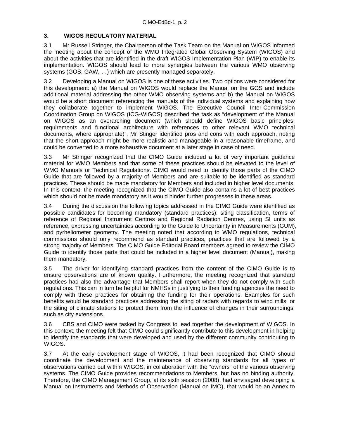#### **3. WIGOS REGULATORY MATERIAL**

3.1 Mr Russell Stringer, the Chairperson of the Task Team on the Manual on WIGOS informed the meeting about the concept of the WMO Integrated Global Observing System (WIGOS) and about the activities that are identified in the draft WIGOS Implementation Plan (WIP) to enable its implementation. WIGOS should lead to more synergies between the various WMO observing systems (GOS, GAW, …) which are presently managed separately.

3.2 Developing a Manual on WIGOS is one of these activities. Two options were considered for this development: a) the Manual on WIGOS would replace the Manual on the GOS and include additional material addressing the other WMO observing systems and b) the Manual on WIGOS would be a short document referencing the manuals of the individual systems and explaining how they collaborate together to implement WIGOS. The Executive Council Inter-Commission Coordination Group on WIGOS (ICG-WIGOS) described the task as "development of the Manual on WIGOS as an overarching document (which should define WIGOS basic principles, requirements and functional architecture with references to other relevant WMO technical documents, where appropriate)". Mr Stinger identified pros and cons with each approach, noting that the short approach might be more realistic and manageable in a reasonable timeframe, and could be converted to a more exhaustive document at a later stage in case of need.

3.3 Mr Stringer recognized that the CIMO Guide included a lot of very important guidance material for WMO Members and that some of these practices should be elevated to the level of WMO Manuals or Technical Regulations. CIMO would need to identify those parts of the CIMO Guide that are followed by a majority of Members and are suitable to be identified as standard practices. These should be made mandatory for Members and included in higher level documents. In this context, the meeting recognized that the CIMO Guide also contains a lot of best practices which should not be made mandatory as it would hinder further progresses in these areas.

3.4 During the discussion the following topics addressed in the CIMO Guide were identified as possible candidates for becoming mandatory (standard practices): siting classification, terms of reference of Regional Instrument Centres and Regional Radiation Centres, using SI units as reference, expressing uncertainties according to the Guide to Uncertainty in Measurements (GUM), and pyrheliometer geometry. The meeting noted that according to WMO regulations, technical commissions should only recommend as standard practices, practices that are followed by a strong majority of Members. The CIMO Guide Editorial Board members agreed to review the CIMO Guide to identify those parts that could be included in a higher level document (Manual), making them mandatory.

3.5 The driver for identifying standard practices from the content of the CIMO Guide is to ensure observations are of known quality. Furthermore, the meeting recognized that standard practices had also the advantage that Members shall report when they do not comply with such regulations. This can in turn be helpful for NMHSs in justifying to their funding agencies the need to comply with these practices for obtaining the funding for their operations. Examples for such benefits would be standard practices addressing the siting of radars with regards to wind mills, or the siting of climate stations to protect them from the influence of changes in their surroundings, such as city extensions.

3.6 CBS and CIMO were tasked by Congress to lead together the development of WIGOS. In this context, the meeting felt that CIMO could significantly contribute to this development in helping to identify the standards that were developed and used by the different community contributing to WIGOS.

3.7 At the early development stage of WIGOS, it had been recognized that CIMO should coordinate the development and the maintenance of observing standards for all types of observations carried out within WIGOS, in collaboration with the "owners" of the various observing systems. The CIMO Guide provides recommendations to Members, but has no binding authority. Therefore, the CIMO Management Group, at its sixth session (2008), had envisaged developing a Manual on Instruments and Methods of Observation (Manual on IMO), that would be an Annex to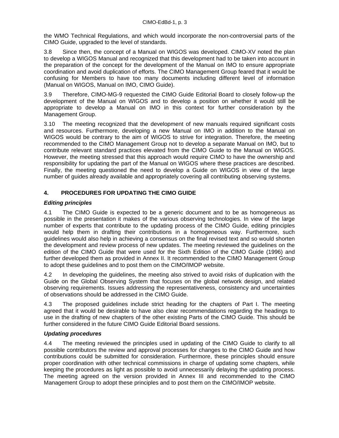the WMO Technical Regulations, and which would incorporate the non-controversial parts of the CIMO Guide, upgraded to the level of standards.

3.8 Since then, the concept of a Manual on WIGOS was developed. CIMO-XV noted the plan to develop a WIGOS Manual and recognized that this development had to be taken into account in the preparation of the concept for the development of the Manual on IMO to ensure appropriate coordination and avoid duplication of efforts. The CIMO Management Group feared that it would be confusing for Members to have too many documents including different level of information (Manual on WIGOS, Manual on IMO, CIMO Guide).

3.9 Therefore, CIMO-MG-9 requested the CIMO Guide Editorial Board to closely follow-up the development of the Manual on WIGOS and to develop a position on whether it would still be appropriate to develop a Manual on IMO in this context for further consideration by the Management Group.

3.10 The meeting recognized that the development of new manuals required significant costs and resources. Furthermore, developing a new Manual on IMO in addition to the Manual on WIGOS would be contrary to the aim of WIGOS to strive for integration. Therefore, the meeting recommended to the CIMO Management Group not to develop a separate Manual on IMO, but to contribute relevant standard practices elevated from the CIMO Guide to the Manual on WIGOS. However, the meeting stressed that this approach would require CIMO to have the ownership and responsibility for updating the part of the Manual on WIGOS where these practices are described. Finally, the meeting questioned the need to develop a Guide on WIGOS in view of the large number of guides already available and appropriately covering all contributing observing systems.

# **4. PROCEDURES FOR UPDATING THE CIMO GUIDE**

# *Editing principles*

4.1 The CIMO Guide is expected to be a generic document and to be as homogeneous as possible in the presentation it makes of the various observing technologies. In view of the large number of experts that contribute to the updating process of the CIMO Guide, editing principles would help them in drafting their contributions in a homogeneous way. Furthermore, such guidelines would also help in achieving a consensus on the final revised text and so would shorten the development and review process of new updates. The meeting reviewed the guidelines on the edition of the CIMO Guide that were used for the Sixth Edition of the CIMO Guide (1996) and further developed them as provided in Annex II. It recommended to the CIMO Management Group to adopt these guidelines and to post them on the CIMO/IMOP website.

4.2 In developing the guidelines, the meeting also strived to avoid risks of duplication with the Guide on the Global Observing System that focuses on the global network design, and related observing requirements. Issues addressing the representativeness, consistency and uncertainties of observations should be addressed in the CIMO Guide.

4.3 The proposed guidelines include strict heading for the chapters of Part I. The meeting agreed that it would be desirable to have also clear recommendations regarding the headings to use in the drafting of new chapters of the other existing Parts of the CIMO Guide. This should be further considered in the future CIMO Guide Editorial Board sessions.

#### *Updating procedures*

4.4 The meeting reviewed the principles used in updating of the CIMO Guide to clarify to all possible contributors the review and approval processes for changes to the CIMO Guide and how contributions could be submitted for consideration. Furthermore, these principles should ensure proper coordination with other technical commissions in charge of updating some chapters, while keeping the procedures as light as possible to avoid unnecessarily delaying the updating process. The meeting agreed on the version provided in Annex III and recommended to the CIMO Management Group to adopt these principles and to post them on the CIMO/IMOP website.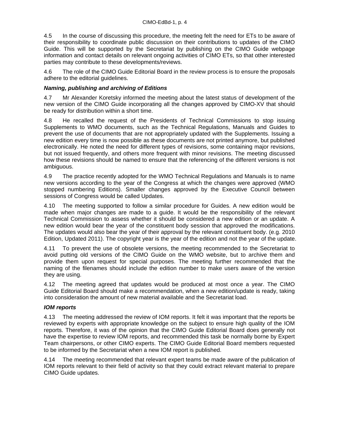4.5 In the course of discussing this procedure, the meeting felt the need for ETs to be aware of their responsibility to coordinate public discussion on their contributions to updates of the CIMO Guide. This will be supported by the Secretariat by publishing on the CIMO Guide webpage information and contact details on relevant ongoing activities of CIMO ETs, so that other interested parties may contribute to these developments/reviews.

4.6 The role of the CIMO Guide Editorial Board in the review process is to ensure the proposals adhere to the editorial guidelines.

#### *Naming, publishing and archiving of Editions*

4.7 Mr Alexander Koretsky informed the meeting about the latest status of development of the new version of the CIMO Guide incorporating all the changes approved by CIMO-XV that should be ready for distribution within a short time.

4.8 He recalled the request of the Presidents of Technical Commissions to stop issuing Supplements to WMO documents, such as the Technical Regulations, Manuals and Guides to prevent the use of documents that are not appropriately updated with the Supplements. Issuing a new edition every time is now possible as these documents are not printed anymore, but published electronically. He noted the need for different types of revisions, some containing major revisions, but not issued frequently, and others more frequent with minor revisions. The meeting discussed how these revisions should be named to ensure that the referencing of the different versions is not ambiguous.

4.9 The practice recently adopted for the WMO Technical Regulations and Manuals is to name new versions according to the year of the Congress at which the changes were approved (WMO stopped numbering Editions). Smaller changes approved by the Executive Council between sessions of Congress would be called Updates.

4.10 The meeting supported to follow a similar procedure for Guides. A new edition would be made when major changes are made to a guide. It would be the responsibility of the relevant Technical Commission to assess whether it should be considered a new edition or an update. A new edition would bear the year of the constituent body session that approved the modifications. The updates would also bear the year of their approval by the relevant constituent body. (e.g. 2010 Edition, Updated 2011). The copyright year is the year of the edition and not the year of the update.

4.11 To prevent the use of obsolete versions, the meeting recommended to the Secretariat to avoid putting old versions of the CIMO Guide on the WMO website, but to archive them and provide them upon request for special purposes. The meeting further recommended that the naming of the filenames should include the edition number to make users aware of the version they are using.

4.12 The meeting agreed that updates would be produced at most once a year. The CIMO Guide Editorial Board should make a recommendation, when a new edition/update is ready, taking into consideration the amount of new material available and the Secretariat load.

#### *IOM reports*

4.13 The meeting addressed the review of IOM reports. It felt it was important that the reports be reviewed by experts with appropriate knowledge on the subject to ensure high quality of the IOM reports. Therefore, it was of the opinion that the CIMO Guide Editorial Board does generally not have the expertise to review IOM reports, and recommended this task be normally borne by Expert Team chairpersons, or other CIMO experts. The CIMO Guide Editorial Board members requested to be informed by the Secretariat when a new IOM report is published.

4.14 The meeting recommended that relevant expert teams be made aware of the publication of IOM reports relevant to their field of activity so that they could extract relevant material to prepare CIMO Guide updates.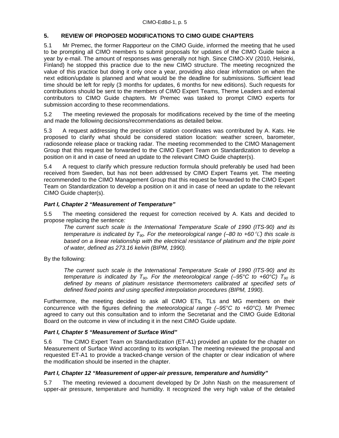#### **5. REVIEW OF PROPOSED MODIFICATIONS TO CIMO GUIDE CHAPTERS**

5.1 Mr Premec, the former Rapporteur on the CIMO Guide, informed the meeting that he used to be prompting all CIMO members to submit proposals for updates of the CIMO Guide twice a year by e-mail. The amount of responses was generally not high. Since CIMO-XV (2010, Helsinki, Finland) he stopped this practice due to the new CIMO structure. The meeting recognized the value of this practice but doing it only once a year, providing also clear information on when the next edition/update is planned and what would be the deadline for submissions. Sufficient lead time should be left for reply (3 months for updates, 6 months for new editions). Such requests for contributions should be sent to the members of CIMO Expert Teams, Theme Leaders and external contributors to CIMO Guide chapters. Mr Premec was tasked to prompt CIMO experts for submission according to these recommendations.

5.2 The meeting reviewed the proposals for modifications received by the time of the meeting and made the following decisions/recommendations as detailed below.

5.3 A request addressing the precision of station coordinates was contributed by A. Kats. He proposed to clarify what should be considered station location: weather screen, barometer, radiosonde release place or tracking radar. The meeting recommended to the CIMO Management Group that this request be forwarded to the CIMO Expert Team on Standardization to develop a position on it and in case of need an update to the relevant CIMO Guide chapter(s).

5.4 A request to clarify which pressure reduction formula should preferably be used had been received from Sweden, but has not been addressed by CIMO Expert Teams yet. The meeting recommended to the CIMO Management Group that this request be forwarded to the CIMO Expert Team on Standardization to develop a position on it and in case of need an update to the relevant CIMO Guide chapter(s).

#### *Part I, Chapter 2 "Measurement of Temperature"*

5.5 The meeting considered the request for correction received by A. Kats and decided to propose replacing the sentence*:* 

*The current such scale is the International Temperature Scale of 1990 (ITS-90) and its temperature is indicated by T90. For the meteorological range (–80 to +60*°C*) this scale is based on a linear relationship with the electrical resistance of platinum and the triple point of water, defined as 273.16 kelvin (BIPM, 1990).* 

By the following:

*The current such scale is the International Temperature Scale of 1990 (ITS-90) and its temperature is indicated by T<sub>90</sub>. For the meteorological range (-95°C to +60°C) T<sub>90</sub> is* defined by means of platinum resistance thermometers calibrated at specified sets of defined fixed points and using specified interpolation procedures (BIPM, 1990).

Furthermore, the meeting decided to ask all CIMO ETs, TLs and MG members on their concurrence with the figures defining the *meteorological range (–95°C to +60°C).* Mr Premec agreed to carry out this consultation and to inform the Secretariat and the CIMO Guide Editorial Board on the outcome in view of including it in the next CIMO Guide update.

#### *Part I, Chapter 5 "Measurement of Surface Wind"*

5.6 The CIMO Expert Team on Standardization (ET-A1) provided an update for the chapter on Measurement of Surface Wind according to its workplan. The meeting reviewed the proposal and requested ET-A1 to provide a tracked-change version of the chapter or clear indication of where the modification should be inserted in the chapter.

#### *Part I, Chapter 12 "Measurement of upper-air pressure, temperature and humidity"*

5.7 The meeting reviewed a document developed by Dr John Nash on the measurement of upper-air pressure, temperature and humidity. It recognized the very high value of the detailed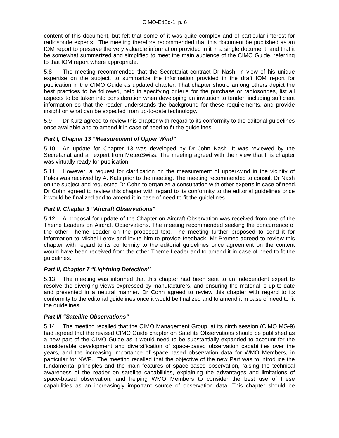content of this document, but felt that some of it was quite complex and of particular interest for radiosonde experts. The meeting therefore recommended that this document be published as an IOM report to preserve the very valuable information provided in it in a single document, and that it be somewhat summarized and simplified to meet the main audience of the CIMO Guide, referring to that IOM report where appropriate.

5.8 The meeting recommended that the Secretariat contract Dr Nash, in view of his unique expertise on the subject, to summarize the information provided in the draft IOM report for publication in the CIMO Guide as updated chapter. That chapter should among others depict the best practices to be followed, help in specifying criteria for the purchase or radiosondes, list all aspects to be taken into consideration when developing an invitation to tender, including sufficient information so that the reader understands the background for these requirements, and provide insight on what can be expected from up-to-date technology.

5.9 Dr Kurz agreed to review this chapter with regard to its conformity to the editorial guidelines once available and to amend it in case of need to fit the guidelines.

#### *Part I, Chapter 13 "Measurement of Upper Wind"*

5.10 An update for Chapter 13 was developed by Dr John Nash. It was reviewed by the Secretariat and an expert from MeteoSwiss. The meeting agreed with their view that this chapter was virtually ready for publication.

5.11 However, a request for clarification on the measurement of upper-wind in the vicinity of Poles was received by A. Kats prior to the meeting. The meeting recommended to consult Dr Nash on the subject and requested Dr Cohn to organize a consultation with other experts in case of need. Dr Cohn agreed to review this chapter with regard to its conformity to the editorial guidelines once it would be finalized and to amend it in case of need to fit the guidelines.

#### *Part II, Chapter 3 "Aircraft Observations"*

5.12 A proposal for update of the Chapter on Aircraft Observation was received from one of the Theme Leaders on Aircraft Observations. The meeting recommended seeking the concurrence of the other Theme Leader on the proposed text. The meeting further proposed to send it for information to Michel Leroy and invite him to provide feedback. Mr Premec agreed to review this chapter with regard to its conformity to the editorial guidelines once agreement on the content would have been received from the other Theme Leader and to amend it in case of need to fit the guidelines.

#### *Part II, Chapter 7 "Lightning Detection"*

5.13 The meeting was informed that this chapter had been sent to an independent expert to resolve the diverging views expressed by manufacturers, and ensuring the material is up-to-date and presented in a neutral manner. Dr Cohn agreed to review this chapter with regard to its conformity to the editorial guidelines once it would be finalized and to amend it in case of need to fit the guidelines.

#### *Part III "Satellite Observations"*

5.14 The meeting recalled that the CIMO Management Group, at its ninth session (CIMO MG-9) had agreed that the revised CIMO Guide chapter on Satellite Observations should be published as a new part of the CIMO Guide as it would need to be substantially expanded to account for the considerable development and diversification of space-based observation capabilities over the years, and the increasing importance of space-based observation data for WMO Members, in particular for NWP. The meeting recalled that the objective of the new Part was to introduce the fundamental principles and the main features of space-based observation, raising the technical awareness of the reader on satellite capabilities, explaining the advantages and limitations of space-based observation, and helping WMO Members to consider the best use of these capabilities as an increasingly important source of observation data. This chapter should be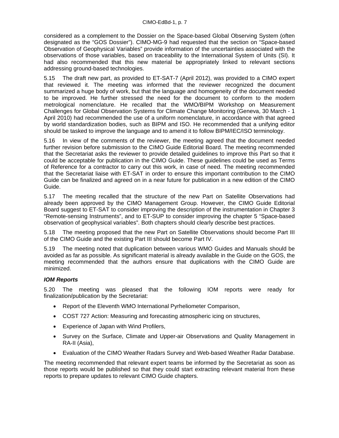considered as a complement to the Dossier on the Space-based Global Observing System (often designated as the "GOS Dossier"). CIMO-MG-9 had requested that the section on "Space-based Observation of Geophysical Variables" provide information of the uncertainties associated with the observations of those variables, based on traceability to the International System of Units (SI). It had also recommended that this new material be appropriately linked to relevant sections addressing ground-based technologies.

5.15 The draft new part, as provided to ET-SAT-7 (April 2012), was provided to a CIMO expert that reviewed it. The meeting was informed that the reviewer recognized the document summarized a huge body of work, but that the language and homogeneity of the document needed to be improved. He further stressed the need for the document to conform to the modern metrological nomenclature. He recalled that the WMO/BIPM Workshop on Measurement Challenges for Global Observation Systems for Climate Change Monitoring (Geneva, 30 March - 1 April 2010) had recommended the use of a uniform nomenclature, in accordance with that agreed by world standardization bodies, such as BIPM and ISO. He recommended that a unifying editor should be tasked to improve the language and to amend it to follow BIPM/IEC/ISO terminology.

5.16 In view of the comments of the reviewer, the meeting agreed that the document needed further revision before submission to the CIMO Guide Editorial Board. The meeting recommended that the Secretariat asks the reviewer to provide detailed guidelines to improve this Part so that it could be acceptable for publication in the CIMO Guide. These guidelines could be used as Terms of Reference for a contractor to carry out this work, in case of need. The meeting recommended that the Secretariat liaise with ET-SAT in order to ensure this important contribution to the CIMO Guide can be finalized and agreed on in a near future for publication in a new edition of the CIMO Guide.

5.17 The meeting recalled that the structure of the new Part on Satellite Observations had already been approved by the CIMO Management Group. However, the CIMO Guide Editorial Board suggest to ET-SAT to consider improving the description of the instrumentation in Chapter 3 "Remote-sensing Instruments", and to ET-SUP to consider improving the chapter 5 "Space-based observation of geophysical variables". Both chapters should clearly describe best practices.

5.18 The meeting proposed that the new Part on Satellite Observations should become Part III of the CIMO Guide and the existing Part III should become Part IV.

5.19 The meeting noted that duplication between various WMO Guides and Manuals should be avoided as far as possible. As significant material is already available in the Guide on the GOS, the meeting recommended that the authors ensure that duplications with the CIMO Guide are minimized.

#### *IOM Reports*

5.20 The meeting was pleased that the following IOM reports were ready for finalization/publication by the Secretariat:

- Report of the Eleventh WMO International Pyrheliometer Comparison,
- COST 727 Action: Measuring and forecasting atmospheric icing on structures,
- Experience of Japan with Wind Profilers,
- Survey on the Surface, Climate and Upper-air Observations and Quality Management in RA-II (Asia),
- Evaluation of the CIMO Weather Radars Survey and Web-based Weather Radar Database.

The meeting recommended that relevant expert teams be informed by the Secretariat as soon as those reports would be published so that they could start extracting relevant material from these reports to prepare updates to relevant CIMO Guide chapters.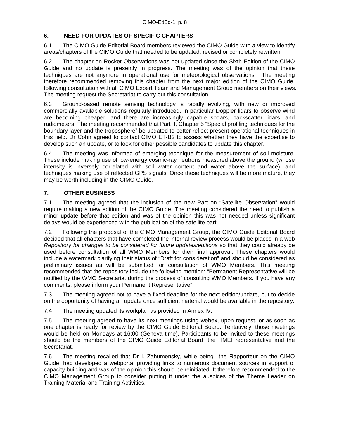# **6. NEED FOR UPDATES OF SPECIFIC CHAPTERS**

6.1 The CIMO Guide Editorial Board members reviewed the CIMO Guide with a view to identify areas/chapters of the CIMO Guide that needed to be updated, revised or completely rewritten.

6.2 The chapter on Rocket Observations was not updated since the Sixth Edition of the CIMO Guide and no update is presently in progress. The meeting was of the opinion that these techniques are not anymore in operational use for meteorological observations. The meeting therefore recommended removing this chapter from the next major edition of the CIMO Guide, following consultation with all CIMO Expert Team and Management Group members on their views. The meeting request the Secretariat to carry out this consultation.

6.3 Ground-based remote sensing technology is rapidly evolving, with new or improved commercially available solutions regularly introduced. In particular Doppler lidars to observe wind are becoming cheaper, and there are increasingly capable sodars, backscatter lidars, and radiometers. The meeting recommended that Part II, Chapter 5 "Special profiling techniques for the boundary layer and the troposphere" be updated to better reflect present operational techniques in this field. Dr Cohn agreed to contact CIMO ET-B2 to assess whether they have the expertise to develop such an update, or to look for other possible candidates to update this chapter.

6.4 The meeting was informed of emerging technique for the measurement of soil moisture. These include making use of low-energy cosmic-ray neutrons measured above the ground (whose intensity is inversely correlated with soil water content and water above the surface), and techniques making use of reflected GPS signals. Once these techniques will be more mature, they may be worth including in the CIMO Guide.

# **7. OTHER BUSINESS**

7.1 The meeting agreed that the inclusion of the new Part on "Satellite Observation" would require making a new edition of the CIMO Guide. The meeting considered the need to publish a minor update before that edition and was of the opinion this was not needed unless significant delays would be experienced with the publication of the satellite part.

7.2 Following the proposal of the CIMO Management Group, the CIMO Guide Editorial Board decided that all chapters that have completed the internal review process would be placed in a web *Repository for changes to be considered for future updates/editions* so that they could already be used before consultation of all WMO Members for their final approval. These chapters would include a watermark clarifying their status of "Draft for consideration" and should be considered as preliminary issues as will be submitted for consultation of WMO Members. This meeting recommended that the repository include the following mention: "Permanent Representative will be notified by the WMO Secretariat during the process of consulting WMO Members. If you have any comments, please inform your Permanent Representative".

7.3 The meeting agreed not to have a fixed deadline for the next edition/update, but to decide on the opportunity of having an update once sufficient material would be available in the repository.

7.4 The meeting updated its workplan as provided in Annex IV.

7.5 The meeting agreed to have its next meetings using webex, upon request, or as soon as one chapter is ready for review by the CIMO Guide Editorial Board. Tentatively, those meetings would be held on Mondays at 16:00 (Geneva time). Participants to be invited to these meetings should be the members of the CIMO Guide Editorial Board, the HMEI representative and the Secretariat.

7.6 The meeting recalled that Dr I. Zahumensky, while being the Rapporteur on the CIMO Guide, had developed a webportal providing links to numerous document sources in support of capacity building and was of the opinion this should be reinitiated. It therefore recommended to the CIMO Management Group to consider putting it under the auspices of the Theme Leader on Training Material and Training Activities.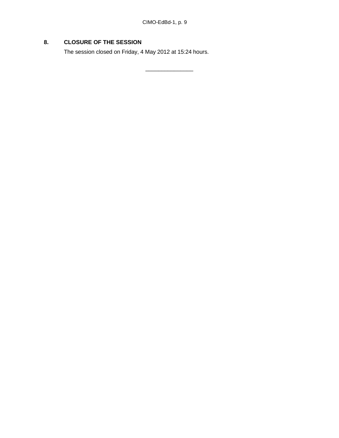\_\_\_\_\_\_\_\_\_\_\_\_\_\_\_

# **8. CLOSURE OF THE SESSION**

The session closed on Friday, 4 May 2012 at 15:24 hours.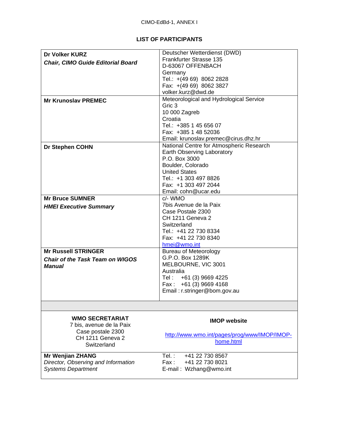#### **LIST OF PARTICIPANTS**

| Dr Volker KURZ                                                   | Deutscher Wetterdienst (DWD)                      |
|------------------------------------------------------------------|---------------------------------------------------|
| <b>Chair, CIMO Guide Editorial Board</b>                         | Frankfurter Strasse 135                           |
|                                                                  | D-63067 OFFENBACH                                 |
|                                                                  | Germany                                           |
|                                                                  | Tel.: +(49 69) 8062 2828                          |
|                                                                  | Fax: +(49 69) 8062 3827                           |
|                                                                  | volker.kurz@dwd.de                                |
| <b>Mr Krunoslav PREMEC</b>                                       | Meteorological and Hydrological Service           |
|                                                                  | Gric 3                                            |
|                                                                  | 10 000 Zagreb                                     |
|                                                                  | Croatia                                           |
|                                                                  | Tel.: +385 1 45 656 07                            |
|                                                                  | Fax: +385 1 48 52036                              |
|                                                                  | Email: krunoslav.premec@cirus.dhz.hr              |
|                                                                  | National Centre for Atmospheric Research          |
| <b>Dr Stephen COHN</b>                                           | Earth Observing Laboratory                        |
|                                                                  | P.O. Box 3000                                     |
|                                                                  |                                                   |
|                                                                  | Boulder, Colorado                                 |
|                                                                  | <b>United States</b>                              |
|                                                                  | Tel.: +1 303 497 8826                             |
|                                                                  | Fax: +1 303 497 2044                              |
|                                                                  | Email: cohn@ucar.edu                              |
| <b>Mr Bruce SUMNER</b>                                           | c/- WMO                                           |
| <b>HMEI Executive Summary</b>                                    | 7bis Avenue de la Paix                            |
|                                                                  |                                                   |
|                                                                  | Case Postale 2300                                 |
|                                                                  | CH 1211 Geneva 2                                  |
|                                                                  | Switzerland                                       |
|                                                                  |                                                   |
|                                                                  | Tel.: +41 22 730 8334                             |
|                                                                  | Fax: +41 22 730 8340                              |
|                                                                  | hmei@wmo.int                                      |
| <b>Mr Russell STRINGER</b>                                       | <b>Bureau of Meteorology</b>                      |
| <b>Chair of the Task Team on WIGOS</b>                           | G.P.O. Box 1289K                                  |
| Manual                                                           | MELBOURNE, VIC 3001                               |
|                                                                  | Australia                                         |
|                                                                  | Tel: +61 (3) 9669 4225                            |
|                                                                  | Fax: $+61$ (3) 9669 4168                          |
|                                                                  | Email: r.stringer@bom.gov.au                      |
|                                                                  |                                                   |
|                                                                  |                                                   |
| <b>WMO SECRETARIAT</b>                                           |                                                   |
| 7 bis, avenue de la Paix                                         | <b>IMOP website</b>                               |
| Case postale 2300                                                |                                                   |
| <b>CH 1211 Geneva 2</b>                                          | http://www.wmo.int/pages/prog/www/IMOP/IMOP-      |
| Switzerland                                                      | home.html                                         |
|                                                                  |                                                   |
| <b>Mr Wenjian ZHANG</b>                                          | Tel. :<br>+41 22 730 8567                         |
| Director, Observing and Information<br><b>Systems Department</b> | Fax:<br>+41 22 730 8021<br>E-mail: Wzhang@wmo.int |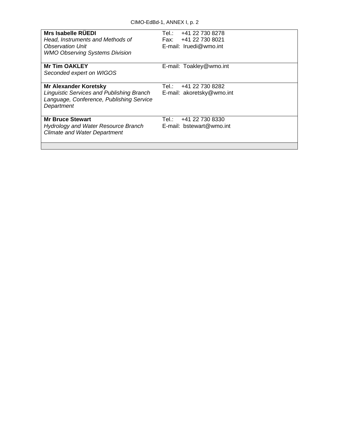| Mrs Isabelle RUEDI                                                                                                                         | Tel∴                                                 |
|--------------------------------------------------------------------------------------------------------------------------------------------|------------------------------------------------------|
| Head, Instruments and Methods of                                                                                                           | +41 22 730 8278                                      |
| <b>Observation Unit</b>                                                                                                                    | Fax: +41 22 730 8021                                 |
| <b>WMO Observing Systems Division</b>                                                                                                      | E-mail: Iruedi@wmo.int                               |
| <b>Mr Tim OAKLEY</b><br>Seconded expert on WIGOS                                                                                           | E-mail: Toakley@wmo.int                              |
| <b>Mr Alexander Koretsky</b><br><b>Linguistic Services and Publishing Branch</b><br>Language, Conference, Publishing Service<br>Department | +41 22 730 8282<br>Tel∴<br>E-mail: akoretsky@wmo.int |
| <b>Mr Bruce Stewart</b>                                                                                                                    | +41 22 730 8330                                      |
| <b>Hydrology and Water Resource Branch</b>                                                                                                 | Tel∴                                                 |
| <b>Climate and Water Department</b>                                                                                                        | E-mail: bstewart@wmo.int                             |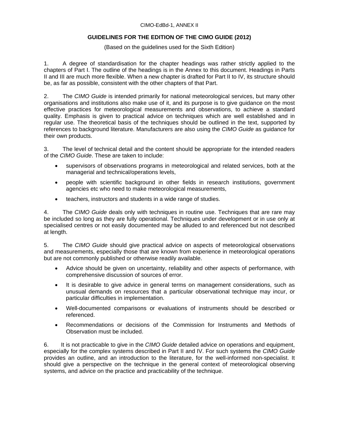#### CIMO-EdBd-1, ANNEX II

#### **GUIDELINES FOR THE EDITION OF THE CIMO GUIDE (2012)**

(Based on the guidelines used for the Sixth Edition)

1. A degree of standardisation for the chapter headings was rather strictly applied to the chapters of Part I. The outline of the headings is in the Annex to this document. Headings in Parts II and III are much more flexible. When a new chapter is drafted for Part II to IV, its structure should be, as far as possible, consistent with the other chapters of that Part.

2. The *CIMO Guide* is intended primarily for national meteorological services, but many other organisations and institutions also make use of it, and its purpose is to give guidance on the most effective practices for meteorological measurements and observations, to achieve a standard quality. Emphasis is given to practical advice on techniques which are well established and in regular use. The theoretical basis of the techniques should be outlined in the text, supported by references to background literature. Manufacturers are also using the *CIMO Guide* as guidance for their own products.

3. The level of technical detail and the content should be appropriate for the intended readers of the *CIMO Guide*. These are taken to include:

- supervisors of observations programs in meteorological and related services, both at the managerial and technical/operations levels,
- people with scientific background in other fields in research institutions, government agencies etc who need to make meteorological measurements,
- teachers, instructors and students in a wide range of studies.

4. The *CIMO Guide* deals only with techniques in routine use. Techniques that are rare may be included so long as they are fully operational. Techniques under development or in use only at specialised centres or not easily documented may be alluded to and referenced but not described at length.

5. The *CIMO Guide* should give practical advice on aspects of meteorological observations and measurements, especially those that are known from experience in meteorological operations but are not commonly published or otherwise readily available.

- Advice should be given on uncertainty, reliability and other aspects of performance, with comprehensive discussion of sources of error.
- It is desirable to give advice in general terms on management considerations, such as unusual demands on resources that a particular observational technique may incur, or particular difficulties in implementation.
- Well-documented comparisons or evaluations of instruments should be described or referenced.
- Recommendations or decisions of the Commission for Instruments and Methods of Observation must be included.

6. It is not practicable to give in the *CIMO Guide* detailed advice on operations and equipment, especially for the complex systems described in Part II and IV. For such systems the *CIMO Guide* provides an outline, and an introduction to the literature, for the well-informed non-specialist. It should give a perspective on the technique in the general context of meteorological observing systems, and advice on the practice and practicability of the technique.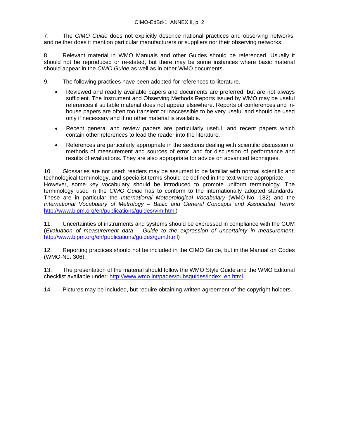7. The *CIMO Guide* does not explicitly describe national practices and observing networks, and neither does it mention particular manufacturers or suppliers nor their observing networks.

8. Relevant material in WMO Manuals and other Guides should be referenced. Usually it should not be reproduced or re-stated, but there may be some instances where basic material should appear in the *CIMO Guide* as well as in other WMO documents.

9. The following practices have been adopted for references to literature.

- Reviewed and readily available papers and documents are preferred, but are not always sufficient. The Instrument and Observing Methods Reports issued by WMO may be useful references if suitable material does not appear elsewhere. Reports of conferences and inhouse papers are often too transient or inaccessible to be very useful and should be used only if necessary and if no other material is available.
- Recent general and review papers are particularly useful, and recent papers which contain other references to lead the reader into the literature.
- References are particularly appropriate in the sections dealing with scientific discussion of methods of measurement and sources of error, and for discussion of performance and results of evaluations. They are also appropriate for advice on advanced techniques.

10. Glossaries are not used: readers may be assumed to be familiar with normal scientific and technological terminology, and specialist terms should be defined in the text where appropriate. However, some key vocabulary should be introduced to promote uniform terminology. The terminology used in the *CIMO Guide* has to conform to the internationally adopted standards. These are in particular the *International Meteorological Vocabulary* (WMO-No. 182) and the *International Vocabulary of Metrology – Basic and General Concepts and Associated Terms* http://www.bipm.org/en/publications/guides/vim.html)

11. Uncertainties of instruments and systems should be expressed in compliance with the GUM (*Evaluation of measurement data – Guide to the expression of uncertainty in measurement*, http://www.bipm.org/en/publications/guides/gum.html)

12. Reporting practices should not be included in the CIMO Guide, but in the Manual on Codes (WMO-No. 306).

13. The presentation of the material should follow the WMO Style Guide and the WMO Editorial checklist available under: http://www.wmo.int/pages/pubsguides/index\_en.html.

14. Pictures may be included, but require obtaining written agreement of the copyright holders.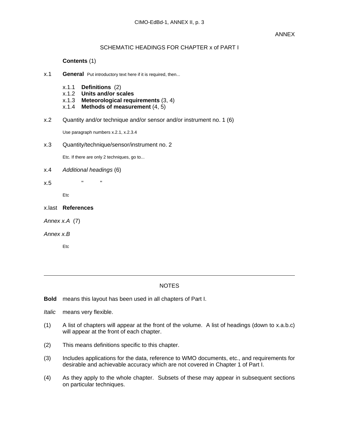#### SCHEMATIC HEADINGS FOR CHAPTER x of PART I

#### **Contents** (1)

- x.1 **General** Put introductory text here if it is required, then...
	- x.1.1 **Definitions** (2)
	- x.1.2 **Units and/or scales**
	- x.1.3 **Meteorological requirements** (3, 4)
	- x.1.4 **Methods of measurement** (4, 5)
- x.2 Quantity and/or technique and/or sensor and/or instrument no. 1 (6)

Use paragraph numbers x.2.1, x.2.3.4

x.3 Quantity/technique/sensor/instrument no. 2

Etc. If there are only 2 techniques, go to...

x.4 *Additional headings* (6)

x.5 " "

Etc

- x.last **References**
- *Annex x.A* (7)
- *Annex x.B*

Etc

#### NOTES

**Bold** means this layout has been used in all chapters of Part I.

*Italic* means very flexible.

- (1) A list of chapters will appear at the front of the volume. A list of headings (down to x.a.b.c) will appear at the front of each chapter.
- (2) This means definitions specific to this chapter.
- (3) Includes applications for the data, reference to WMO documents, etc., and requirements for desirable and achievable accuracy which are not covered in Chapter 1 of Part I.
- (4) As they apply to the whole chapter. Subsets of these may appear in subsequent sections on particular techniques.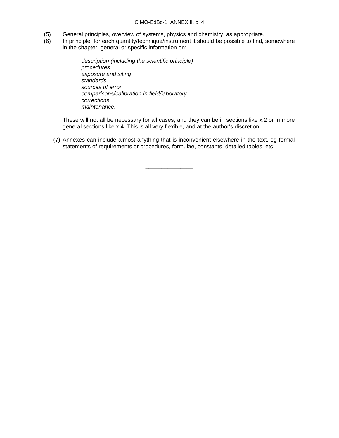- (5) General principles, overview of systems, physics and chemistry, as appropriate.
- (6) In principle, for each quantity/technique/instrument it should be possible to find, somewhere in the chapter, general or specific information on:

*description (including the scientific principle) procedures exposure and siting standards sources of error comparisons/calibration in field/laboratory corrections maintenance.*

These will not all be necessary for all cases, and they can be in sections like x.2 or in more general sections like x.4. This is all very flexible, and at the author's discretion.

(7) Annexes can include almost anything that is inconvenient elsewhere in the text, eg formal statements of requirements or procedures, formulae, constants, detailed tables, etc.

\_\_\_\_\_\_\_\_\_\_\_\_\_\_\_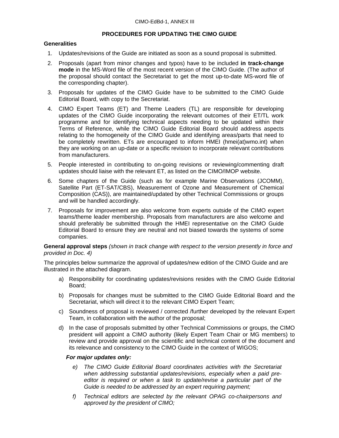#### **PROCEDURES FOR UPDATING THE CIMO GUIDE**

#### **Generalities**

- 1. Updates/revisions of the Guide are initiated as soon as a sound proposal is submitted.
- 2. Proposals (apart from minor changes and typos) have to be included **in track-change mode** in the MS-Word file of the most recent version of the CIMO Guide. (The author of the proposal should contact the Secretariat to get the most up-to-date MS-word file of the corresponding chapter).
- 3. Proposals for updates of the CIMO Guide have to be submitted to the CIMO Guide Editorial Board, with copy to the Secretariat.
- 4. CIMO Expert Teams (ET) and Theme Leaders (TL) are responsible for developing updates of the CIMO Guide incorporating the relevant outcomes of their ET/TL work programme and for identifying technical aspects needing to be updated within their Terms of Reference, while the CIMO Guide Editorial Board should address aspects relating to the homogeneity of the CIMO Guide and identifying areas/parts that need to be completely rewritten. ETs are encouraged to inform HMEI (hmei(at)wmo.int) when they are working on an up-date or a specific revision to incorporate relevant contributions from manufacturers.
- 5. People interested in contributing to on-going revisions or reviewing/commenting draft updates should liaise with the relevant ET, as listed on the CIMO/IMOP website.
- 6. Some chapters of the Guide (such as for example Marine Observations (JCOMM), Satellite Part (ET-SAT/CBS), Measurement of Ozone and Measurement of Chemical Composition (CAS)), are maintained/updated by other Technical Commissions or groups and will be handled accordingly.
- 7. Proposals for improvement are also welcome from experts outside of the CIMO expert teams/theme leader membership. Proposals from manufacturers are also welcome and should preferably be submitted through the HMEI representative on the CIMO Guide Editorial Board to ensure they are neutral and not biased towards the systems of some companies.

**General approval steps** *(shown in track change with respect to the version presently in force and provided in Doc. 4)*

The principles below summarize the approval of updates/new edition of the CIMO Guide and are illustrated in the attached diagram.

- a) Responsibility for coordinating updates/revisions resides with the CIMO Guide Editorial Board;
- b) Proposals for changes must be submitted to the CIMO Guide Editorial Board and the Secretariat, which will direct it to the relevant CIMO Expert Team;
- c) Soundness of proposal is reviewed / corrected /further developed by the relevant Expert Team, in collaboration with the author of the proposal;
- d) In the case of proposals submitted by other Technical Commissions or groups, the CIMO president will appoint a CIMO authority (likely Expert Team Chair or MG members) to review and provide approval on the scientific and technical content of the document and its relevance and consistency to the CIMO Guide in the context of WIGOS;

#### *For major updates only:*

- *e) The CIMO Guide Editorial Board coordinates activities with the Secretariat when addressing substantial updates/revisions, especially when a paid preeditor is required or when a task to update/revise a particular part of the Guide is needed to be addressed by an expert requiring payment;*
- *f) Technical editors are selected by the relevant OPAG co-chairpersons and approved by the president of CIMO;*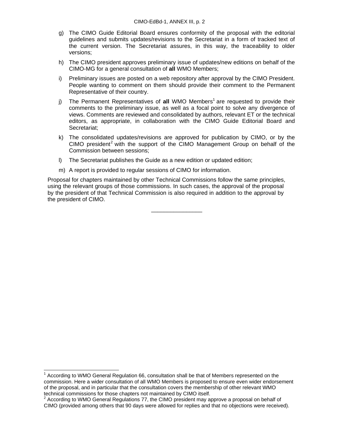- g) The CIMO Guide Editorial Board ensures conformity of the proposal with the editorial guidelines and submits updates/revisions to the Secretariat in a form of tracked text of the current version. The Secretariat assures, in this way, the traceability to older versions;
- h) The CIMO president approves preliminary issue of updates/new editions on behalf of the CIMO-MG for a general consultation of **all** WMO Members;
- i) Preliminary issues are posted on a web repository after approval by the CIMO President. People wanting to comment on them should provide their comment to the Permanent Representative of their country.
- j) The Permanent Representatives of all WMO Members<sup>1</sup> are requested to provide their comments to the preliminary issue, as well as a focal point to solve any divergence of views. Comments are reviewed and consolidated by authors, relevant ET or the technical editors, as appropriate, in collaboration with the CIMO Guide Editorial Board and Secretariat;
- k) The consolidated updates/revisions are approved for publication by CIMO, or by the  $CIMO$  president<sup>2</sup> with the support of the  $CIMO$  Management Group on behalf of the Commission between sessions;
- l) The Secretariat publishes the Guide as a new edition or updated edition;
- m) A report is provided to regular sessions of CIMO for information.

Proposal for chapters maintained by other Technical Commissions follow the same principles, using the relevant groups of those commissions. In such cases, the approval of the proposal by the president of that Technical Commission is also required in addition to the approval by the president of CIMO.

\_\_\_\_\_\_\_\_\_\_\_\_\_\_\_\_

 $\overline{a}$ 

 $1$  According to WMO General Regulation 66, consultation shall be that of Members represented on the commission. Here a wider consultation of all WMO Members is proposed to ensure even wider endorsement of the proposal, and in particular that the consultation covers the membership of other relevant WMO technical commissions for those chapters not maintained by CIMO itself.

 $2^{2}$  According to WMO General Regulations 77, the CIMO president may approve a proposal on behalf of CIMO (provided among others that 90 days were allowed for replies and that no objections were received).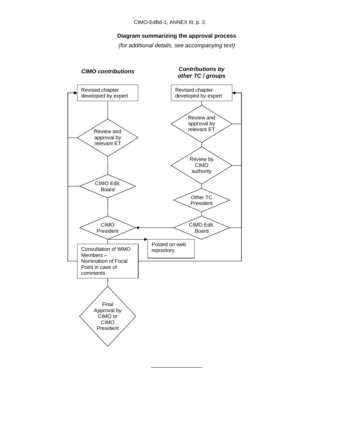#### **Diagram summarizing the approval process**

*(for additional details, see accompanying text)* 

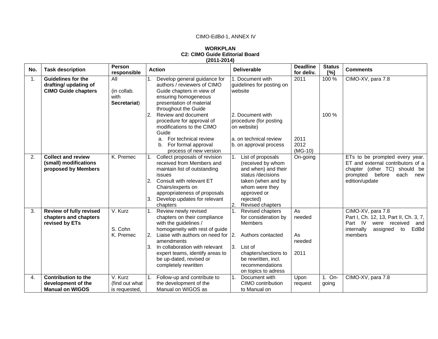# CIMO-EdBd-1, ANNEX IV

#### **WORKPLAN C2: CIMO Guide Editorial Board (2011-2014)**

| No.            | <b>Task description</b>                                                          | Person<br>responsible                      | <b>Action</b>                                                                                                                                                                                                                                                                                                                                 | <b>Deliverable</b>                                                                                                                                                                       | <b>Deadline</b><br>for deliv.        | <b>Status</b><br>[%] | <b>Comments</b>                                                                                                                                            |
|----------------|----------------------------------------------------------------------------------|--------------------------------------------|-----------------------------------------------------------------------------------------------------------------------------------------------------------------------------------------------------------------------------------------------------------------------------------------------------------------------------------------------|------------------------------------------------------------------------------------------------------------------------------------------------------------------------------------------|--------------------------------------|----------------------|------------------------------------------------------------------------------------------------------------------------------------------------------------|
| $\mathbf{1}$ . | <b>Guidelines for the</b><br>drafting/ updating of<br><b>CIMO Guide chapters</b> | All<br>(in collab.<br>with<br>Secretariat) | Develop general guidance for<br>authors / reviewers of CIMO<br>Guide chapters in view of<br>ensuring homogeneous<br>presentation of material<br>throughout the Guide<br>Review and document<br>$\overline{2}$ .<br>procedure for approval of<br>modifications to the CIMO<br>Guide<br>For technical review<br>a.<br>For formal approval<br>b. | 1. Document with<br>guidelines for posting on<br>website<br>2. Document with<br>procedure (for posting<br>on website)<br>a. on technical review<br>b. on approval process                | 2011<br>2011<br>2012                 | 100 %<br>100 %       | CIMO-XV, para 7.8                                                                                                                                          |
|                |                                                                                  |                                            | process of new version                                                                                                                                                                                                                                                                                                                        |                                                                                                                                                                                          | $(MG-10)$                            |                      |                                                                                                                                                            |
| 2.             | <b>Collect and review</b><br>(small) modifications<br>proposed by Members        | K. Premec                                  | Collect proposals of revision<br>received from Members and<br>maintain list of outstanding<br>issues<br>2.<br>Consult with relevant ET<br>Chairs/experts on<br>appropriateness of proposals<br>Develop updates for relevant<br>3.<br>chapters                                                                                                 | List of proposals<br>(received by whom<br>and when) and their<br>status /decisions<br>taken (when and by<br>whom were they<br>approved or<br>rejected)<br>2.<br>Revised chapters         | On-going                             |                      | ETs to be prompted every year.<br>ET and external contributors of a<br>chapter (other TC) should be<br>prompted<br>before<br>each<br>new<br>edition/update |
| 3.             | <b>Review of fully revised</b><br>chapters and chapters<br>revised by ETs        | V. Kurz<br>S. Cohn<br>K. Premec            | Review newly revised<br>1 <sub>1</sub><br>chapters on their compliance<br>with the guidelines /<br>homogeneity with rest of guide<br>Liaise with authors on need for<br>$\overline{2}$ .<br>amendments<br>In collaboration with relevant<br>3.<br>expert teams, identify areas to<br>be up-dated, revised or<br>completely rewritten          | Revised chapters<br>for consideration by<br>Members<br>2.<br>Authors contacted<br>3.<br>List of<br>chapters/sections to<br>be rewritten, incl.<br>recommendations<br>on topics to adress | As<br>needed<br>As<br>needed<br>2011 |                      | CIMO-XV, para 7.8<br>Part I, Ch. 12, 13, Part II, Ch. 3, 7,<br>Part IV<br>were received<br>and<br>internally<br>EdBd<br>assigned<br>to<br>members          |
| 4.             | <b>Contribution to the</b><br>development of the<br><b>Manual on WIGOS</b>       | V. Kurz<br>(find out what<br>is requested, | Follow-up and contribute to<br>$\mathbf{1}$ .<br>the development of the<br>Manual on WIGOS as                                                                                                                                                                                                                                                 | $\mathbf{1}$ .<br>Document with<br>CIMO contribution<br>to Manual on                                                                                                                     | Upon<br>request                      | 1. On-<br>going      | CIMO-XV, para 7.8                                                                                                                                          |